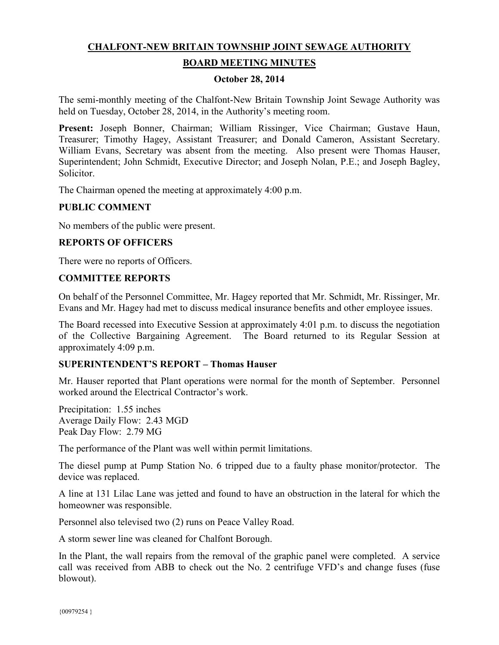# **CHALFONT-NEW BRITAIN TOWNSHIP JOINT SEWAGE AUTHORITY**

## **BOARD MEETING MINUTES**

#### **October 28, 2014**

The semi-monthly meeting of the Chalfont-New Britain Township Joint Sewage Authority was held on Tuesday, October 28, 2014, in the Authority's meeting room.

**Present:** Joseph Bonner, Chairman; William Rissinger, Vice Chairman; Gustave Haun, Treasurer; Timothy Hagey, Assistant Treasurer; and Donald Cameron, Assistant Secretary. William Evans, Secretary was absent from the meeting. Also present were Thomas Hauser, Superintendent; John Schmidt, Executive Director; and Joseph Nolan, P.E.; and Joseph Bagley, Solicitor.

The Chairman opened the meeting at approximately 4:00 p.m.

## **PUBLIC COMMENT**

No members of the public were present.

# **REPORTS OF OFFICERS**

There were no reports of Officers.

#### **COMMITTEE REPORTS**

On behalf of the Personnel Committee, Mr. Hagey reported that Mr. Schmidt, Mr. Rissinger, Mr. Evans and Mr. Hagey had met to discuss medical insurance benefits and other employee issues.

The Board recessed into Executive Session at approximately 4:01 p.m. to discuss the negotiation of the Collective Bargaining Agreement. The Board returned to its Regular Session at approximately 4:09 p.m.

## **SUPERINTENDENT'S REPORT – Thomas Hauser**

Mr. Hauser reported that Plant operations were normal for the month of September. Personnel worked around the Electrical Contractor's work.

Precipitation: 1.55 inches Average Daily Flow: 2.43 MGD Peak Day Flow: 2.79 MG

The performance of the Plant was well within permit limitations.

The diesel pump at Pump Station No. 6 tripped due to a faulty phase monitor/protector. The device was replaced.

A line at 131 Lilac Lane was jetted and found to have an obstruction in the lateral for which the homeowner was responsible.

Personnel also televised two (2) runs on Peace Valley Road.

A storm sewer line was cleaned for Chalfont Borough.

In the Plant, the wall repairs from the removal of the graphic panel were completed. A service call was received from ABB to check out the No. 2 centrifuge VFD's and change fuses (fuse blowout).